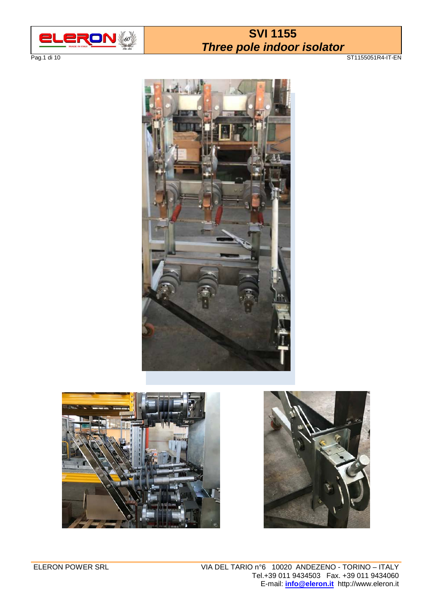

Pag.1 di 10 ST1155051R4-IT-EN





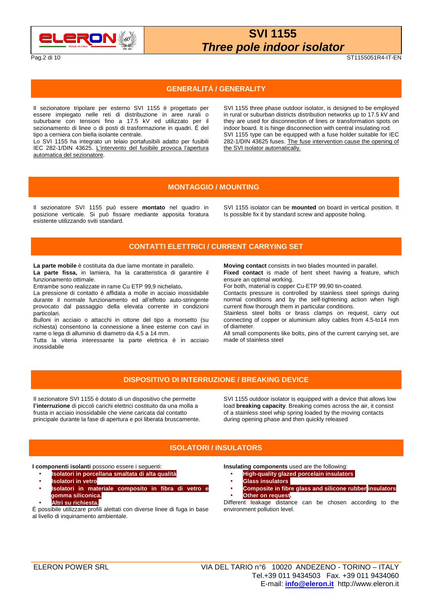

Pag.2 di 10 ST1155051R4-IT-EN

## **GENERALITÁ / GENERALITY**

Il sezionatore tripolare per esterno SVI 1155 è progettato per essere impiegato nelle reti di distribuzione in aree rurali o suburbane con tensioni fino a 17.5 kV ed utilizzato per il sezionamento di linee o di posti di trasformazione in quadri. É del tipo a cerniera con biella isolante centrale.

Lo SVI 1155 ha integrato un telaio portafusibili adatto per fusibili IEC 282-1/DIN 43625. L'intervento del fusibile provoca l'apertura automatica del sezionatore.

SVI 1155 three phase outdoor isolator, is designed to be employed in rural or suburban districts distribution networks up to 17.5 kV and they are used for disconnection of lines or transformation spots on indoor board. It is hinge disconnection with central insulating rod. SVI 1155 type can be equipped with a fuse holder suitable for IEC 282-1/DIN 43625 fuses. The fuse intervention cause the opening of the SVI isolator automatically.

## **MONTAGGIO / MOUNTING**

Il sezionatore SVI 1155 può essere **montato** nel quadro in posizione verticale. Si può fissare mediante apposita foratura esistente utilizzando sviti standard.

SVI 1155 isolator can be **mounted** on board in vertical position. It Is possible fix it by standard screw and apposite holing.

#### **CONTATTI ELETTRICI / CURRENT CARRYING SET**

**La parte mobile** è costituita da due lame montate in parallelo. **La parte fissa,** in lamiera, ha la caratteristica di garantire il funzionamento ottimale.

Entrambe sono realizzate in rame Cu ETP 99,9 nichelato**.**

La pressione di contatto è affidata a molle in acciaio inossidabile durante il normale funzionamento ed all'effetto auto-stringente provocato dal passaggio della elevata corrente in condizioni particolari.

Bulloni in acciaio o attacchi in ottone del tipo a morsetto (su richiesta) consentono la connessione a linee esterne con cavi in rame o lega di alluminio di diametro da 4,5 a 14 mm.

Tutta la viteria interessante la parte elettrica è in acciaio inossidabile

**Moving contact** consists in two blades mounted in parallel.

Fixed contact is made of bent sheet having a feature, which ensure an optimal working.

For both, material is copper Cu-ETP 99,90 tin-coated.

Contacts pressure is controlled by stainless steel springs during normal conditions and by the self-tightening action when high current flow thorough them in particular conditions.

Stainless steel bolts or brass clamps on request, carry out connecting of copper or aluminium alloy cables from 4.5-to14 mm of diameter.

All small components like bolts, pins of the current carrying set, are made of stainless steel

### **DISPOSITIVO DI INTERRUZIONE / BREAKING DEVICE**

Il sezionatore SVI 1155 è dotato di un dispositivo che permette **l'interruzione** di piccoli carichi elettrici costituito da una molla a frusta in acciaio inossidabile che viene caricata dal contatto principale durante la fase di apertura e poi liberata bruscamente.

SVI 1155 outdoor isolator is equipped with a device that allows low load **breaking capacity**. Breaking comes across the air, it consist of a stainless steel whip spring loaded by the moving contacts during opening phase and then quickly released

### **ISOLATORI / INSULATORS**

**I componenti isolanti** possono essere i seguenti:

- **Isolatori in porcellana smaltata di alta qualità**
- **Isolatori in vetro**
- **Isolatori in materiale composito in fibra di vetro e gomma siliconica.**
- **Altri su richiesta.**

É possibile utilizzare profili alettati con diverse linee di fuga in base al livello di inquinamento ambientale.

**Insulating components** used are the following:

- **High-quality glazed porcelain insulators.**
- **Glass insulators.**
- **Composite in fibre glass and silicone rubber insulators**
- **Other on request.**

Different leakage distance can be chosen according to the environment pollution level.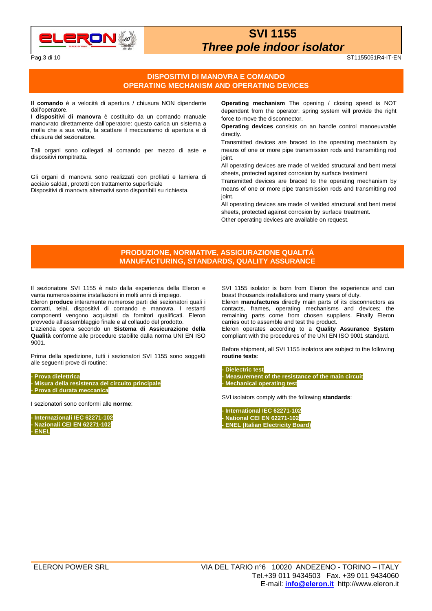

Pag.3 di 10 ST1155051R4-IT-EN

### **DISPOSITIVI DI MANOVRA E COMANDO OPERATING MECHANISM AND OPERATING DEVICES**

**Il comando** è a velocità di apertura / chiusura NON dipendente dall'operatore.

**I dispositivi di manovra** è costituito da un comando manuale manovrato direttamente dall'operatore: questo carica un sistema a molla che a sua volta, fa scattare il meccanismo di apertura e di chiusura del sezionatore.

Tali organi sono collegati al comando per mezzo di aste e dispositivi rompitratta.

Gli organi di manovra sono realizzati con profilati e lamiera di acciaio saldati, protetti con trattamento superficiale Dispositivi di manovra alternativi sono disponibili su richiesta.

 **Operating mechanism** The opening / closing speed is NOT dependent from the operator: spring system will provide the right force to move the disconnector.

**Operating devices** consists on an handle control manoeuvrable directly.

Transmitted devices are braced to the operating mechanism by means of one or more pipe transmission rods and transmitting rod joint.

All operating devices are made of welded structural and bent metal sheets, protected against corrosion by surface treatment

Transmitted devices are braced to the operating mechanism by means of one or more pipe transmission rods and transmitting rod joint.

All operating devices are made of welded structural and bent metal sheets, protected against corrosion by surface treatment. Other operating devices are available on request.

#### **PRODUZIONE, NORMATIVE, ASSICURAZIONE QUALITÁ MANUFACTURING, STANDARDS, QUALITY ASSURANCE**

Il sezionatore SVI 1155 è nato dalla esperienza della Eleron e vanta numerosissime installazioni in molti anni di impiego.

Eleron **produce** interamente numerose parti dei sezionatori quali i contatti, telai, dispositivi di comando e manovra. I restanti componenti vengono acquistati da fornitori qualificati. Eleron provvede all'assemblaggio finale e al collaudo del prodotto.

L'azienda opera secondo un **Sistema di Assicurazione della Qualità** conforme alle procedure stabilite dalla norma UNI EN ISO 9001.

Prima della spedizione, tutti i sezionatori SVI 1155 sono soggetti alle seguenti prove di routine:

**- Prova dielettrica - Misura della resistenza del circuito principale - Prova di durata meccanica**

I sezionatori sono conformi alle **norme**:

**- Internazionali IEC 62271-102 - Nazionali CEI EN 62271-102 - ENEL**

SVI 1155 isolator is born from Eleron the experience and can boast thousands installations and many years of duty.

Eleron **manufactures** directly main parts of its disconnectors as contacts, frames, operating mechanisms and devices; the remaining parts come from chosen suppliers. Finally Eleron carries out to assemble and test the product.

Eleron operates according to a **Quality Assurance System** compliant with the procedures of the UNI EN ISO 9001 standard.

Before shipment, all SVI 1155 isolators are subject to the following **routine tests**:

#### **- Dielectric test**

**- Measurement of the resistance of the main circuit - Mechanical operating test**

SVI isolators comply with the following **standards**:

**- International IEC 62271-102 - National CEI EN 62271-102 - ENEL (Italian Electricity Board)**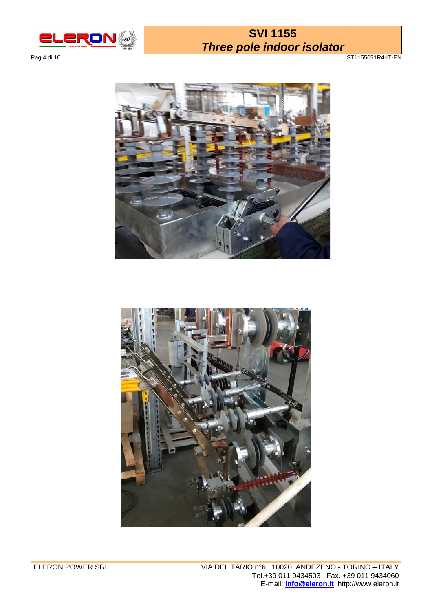

Pag.4 di 10 ST1155051R4-IT-EN



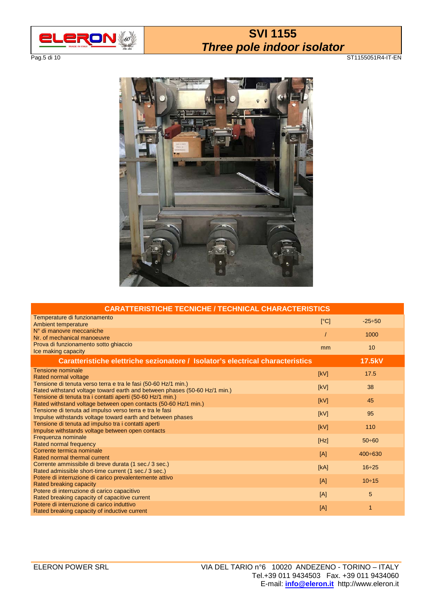

Pag.5 di 10 ST1155051R4-IT-EN



| <b>CARATTERISTICHE TECNICHE / TECHNICAL CHARACTERISTICS</b>                                                                                 |               |                |  |  |  |  |  |  |
|---------------------------------------------------------------------------------------------------------------------------------------------|---------------|----------------|--|--|--|--|--|--|
| Temperature di funzionamento<br>Ambient temperature                                                                                         | [°C]          | $-25 - 50$     |  |  |  |  |  |  |
| N° di manovre meccaniche                                                                                                                    |               | 1000           |  |  |  |  |  |  |
| Nr. of mechanical manoeuvre<br>Prova di funzionamento sotto ghiaccio                                                                        |               |                |  |  |  |  |  |  |
| Ice making capacity                                                                                                                         | mm            | 10             |  |  |  |  |  |  |
| Caratteristiche elettriche sezionatore / Isolator's electrical characteristics                                                              | <b>17.5kV</b> |                |  |  |  |  |  |  |
| Tensione nominale<br>Rated normal voltage                                                                                                   | [kV]          | 17.5           |  |  |  |  |  |  |
| Tensione di tenuta verso terra e tra le fasi (50-60 Hz/1 min.)<br>Rated withstand voltage toward earth and between phases (50-60 Hz/1 min.) | [kV]          | 38             |  |  |  |  |  |  |
| Tensione di tenuta tra i contatti aperti (50-60 Hz/1 min.)<br>Rated withstand voltage between open contacts (50-60 Hz/1 min.)               | <b>IkVI</b>   | 45             |  |  |  |  |  |  |
| Tensione di tenuta ad impulso verso terra e tra le fasi                                                                                     | [kV]          | 95             |  |  |  |  |  |  |
| Impulse withstands voltage toward earth and between phases<br>Tensione di tenuta ad impulso tra i contatti aperti                           | [kV]          | 110            |  |  |  |  |  |  |
| Impulse withstands voltage between open contacts<br>Frequenza nominale                                                                      | [Hz]          | $50 \div 60$   |  |  |  |  |  |  |
| Rated normal frequency<br>Corrente termica nominale                                                                                         |               |                |  |  |  |  |  |  |
| Rated normal thermal current                                                                                                                | [A]           | $400 \div 630$ |  |  |  |  |  |  |
| Corrente ammissibile di breve durata (1 sec./ 3 sec.)<br>Rated admissible short-time current (1 sec./ 3 sec.)                               | [kA]          | $16 \div 25$   |  |  |  |  |  |  |
| Potere di interruzione di carico prevalentemente attivo<br>Rated breaking capacity                                                          | [A]           | $10 - 15$      |  |  |  |  |  |  |
| Potere di interruzione di carico capacitivo<br>Rated breaking capacity of capacitive current                                                | [A]           | 5              |  |  |  |  |  |  |
| Potere di interruzione di carico induttivo<br>Rated breaking capacity of inductive current                                                  | [A]           | 1              |  |  |  |  |  |  |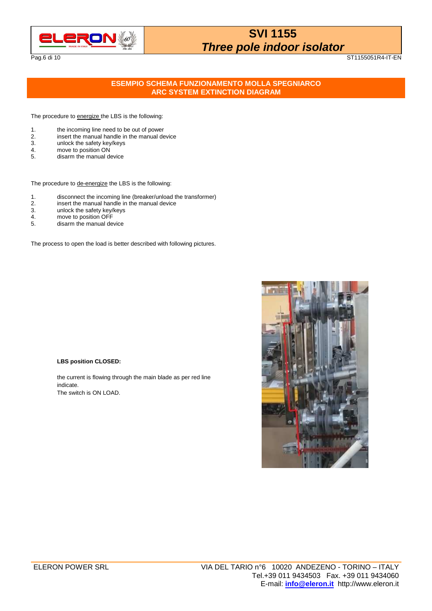

Pag.6 di 10 ST1155051R4-IT-EN

## **ESEMPIO SCHEMA FUNZIONAMENTO MOLLA SPEGNIARCO ARC SYSTEM EXTINCTION DIAGRAM**

The procedure to energize the LBS is the following:

- 1. the incoming line need to be out of power<br>2. insert the manual handle in the manual de
- 2. insert the manual handle in the manual device<br>3. unlock the safety key/keys
- 3. unlock the safety key/keys
- 4. move to position ON 4. move to position ON<br>5. disarm the manual device

The procedure to de-energize the LBS is the following:

- 1. disconnect the incoming line (breaker/unload the transformer)<br>2. insert the manual handle in the manual device
- 2. insert the manual handle in the manual device<br>3. unlock the safety key/keys
- and the safety key/keys
- 4. move to position OFF
- 5. disarm the manual device

The process to open the load is better described with following pictures.

#### **LBS position CLOSED:**

the current is flowing through the main blade as per red line indicate. The switch is ON LOAD.

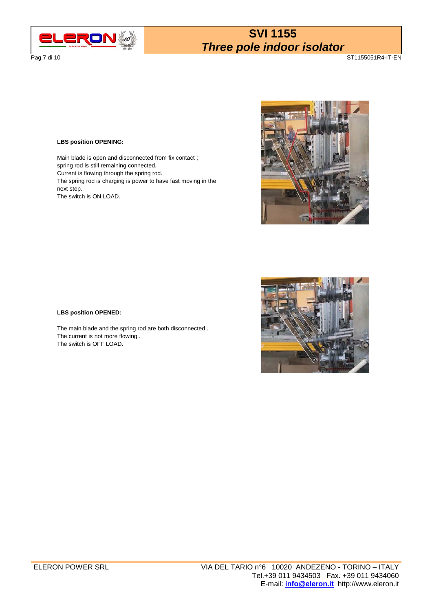

Pag.7 di 10 ST1155051R4-IT-EN

**LBS position OPENING:** 

Main blade is open and disconnected from fix contact ; spring rod is still remaining connected. Current is flowing through the spring rod. The spring rod is charging is power to have fast moving in the next step. The switch is ON LOAD.



**LBS position OPENED:** 

The main blade and the spring rod are both disconnected . The current is not more flowing . The switch is OFF LOAD.

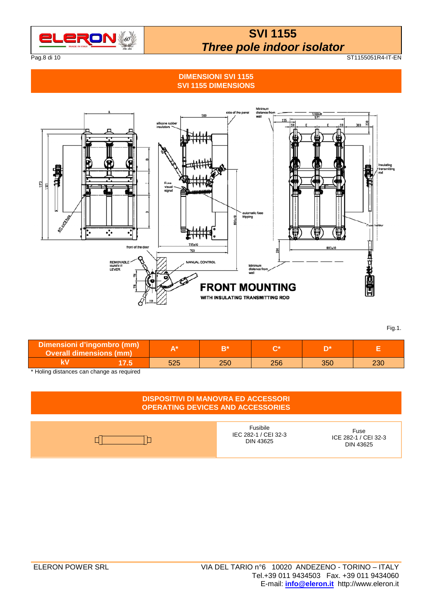

Pag.8 di 10 ST1155051R4-IT-EN

## **DIMENSIONI SVI 1155 SVI 1155 DIMENSIONS**



Fig.1.

| Dimensioni d'ingombro (mm)<br><b>Overall dimensions (mm)</b>              |  |     |     |     |     |     |  |
|---------------------------------------------------------------------------|--|-----|-----|-----|-----|-----|--|
|                                                                           |  | 525 | 250 | 256 | 350 | 230 |  |
| . ♦ 1 1 c Portugal dPortugal company of collection of the construction of |  |     |     |     |     |     |  |

Holing distances can change as required

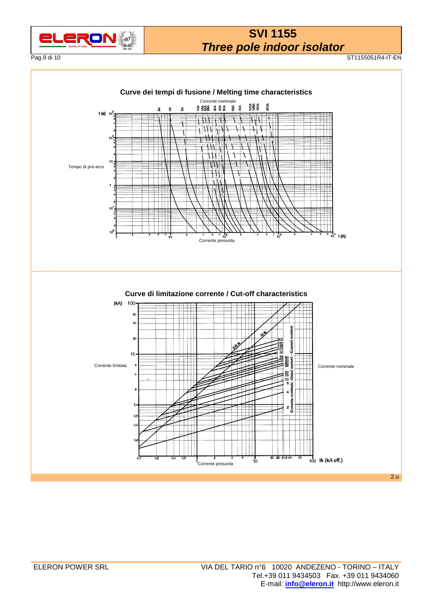

Pag.9 di 10 ST1155051R4-IT-EN